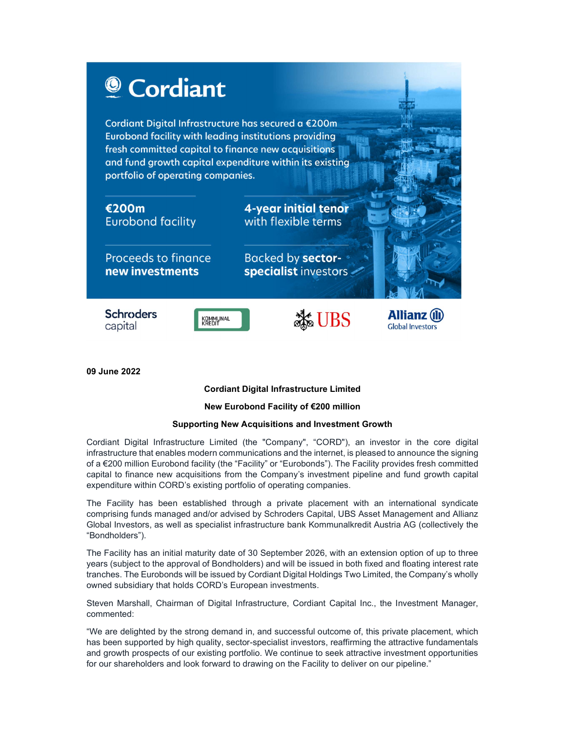

09 June 2022

# Cordiant Digital Infrastructure Limited

## New Eurobond Facility of €200 million

## Supporting New Acquisitions and Investment Growth

Cordiant Digital Infrastructure Limited (the "Company", "CORD"), an investor in the core digital infrastructure that enables modern communications and the internet, is pleased to announce the signing of a €200 million Eurobond facility (the "Facility" or "Eurobonds"). The Facility provides fresh committed capital to finance new acquisitions from the Company's investment pipeline and fund growth capital expenditure within CORD's existing portfolio of operating companies.

The Facility has been established through a private placement with an international syndicate comprising funds managed and/or advised by Schroders Capital, UBS Asset Management and Allianz Global Investors, as well as specialist infrastructure bank Kommunalkredit Austria AG (collectively the "Bondholders").

The Facility has an initial maturity date of 30 September 2026, with an extension option of up to three years (subject to the approval of Bondholders) and will be issued in both fixed and floating interest rate tranches. The Eurobonds will be issued by Cordiant Digital Holdings Two Limited, the Company's wholly owned subsidiary that holds CORD's European investments.

Steven Marshall, Chairman of Digital Infrastructure, Cordiant Capital Inc., the Investment Manager, commented:

"We are delighted by the strong demand in, and successful outcome of, this private placement, which has been supported by high quality, sector-specialist investors, reaffirming the attractive fundamentals and growth prospects of our existing portfolio. We continue to seek attractive investment opportunities for our shareholders and look forward to drawing on the Facility to deliver on our pipeline."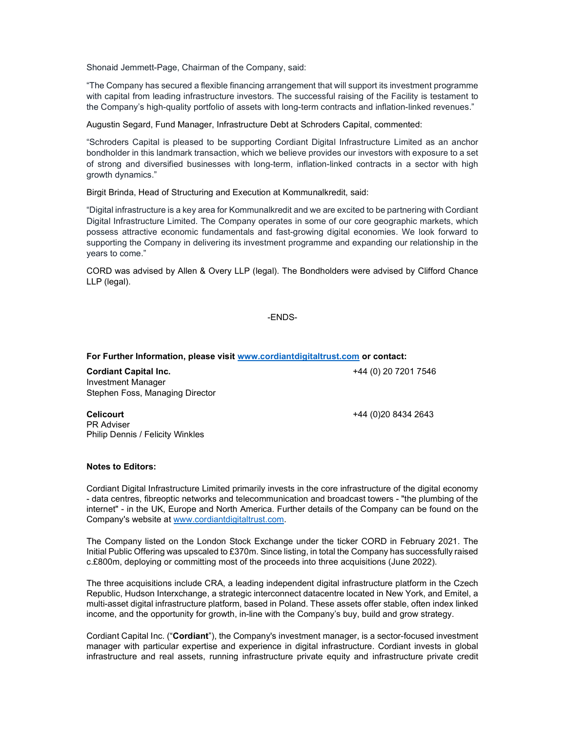Shonaid Jemmett-Page, Chairman of the Company, said:

"The Company has secured a flexible financing arrangement that will support its investment programme with capital from leading infrastructure investors. The successful raising of the Facility is testament to the Company's high-quality portfolio of assets with long-term contracts and inflation-linked revenues."

Augustin Segard, Fund Manager, Infrastructure Debt at Schroders Capital, commented:

"Schroders Capital is pleased to be supporting Cordiant Digital Infrastructure Limited as an anchor bondholder in this landmark transaction, which we believe provides our investors with exposure to a set of strong and diversified businesses with long-term, inflation-linked contracts in a sector with high growth dynamics."

Birgit Brinda, Head of Structuring and Execution at Kommunalkredit, said:

"Digital infrastructure is a key area for Kommunalkredit and we are excited to be partnering with Cordiant Digital Infrastructure Limited. The Company operates in some of our core geographic markets, which possess attractive economic fundamentals and fast-growing digital economies. We look forward to supporting the Company in delivering its investment programme and expanding our relationship in the years to come."

CORD was advised by Allen & Overy LLP (legal). The Bondholders were advised by Clifford Chance LLP (legal).

#### -ENDS-

#### For Further Information, please visit www.cordiantdigitaltrust.com or contact:

Cordiant Capital Inc. Investment Manager Stephen Foss, Managing Director

Philip Dennis / Felicity Winkles

+44 (0) 20 7201 7546

+44 (0)20 8434 2643

**Celicourt** PR Adviser

### Notes to Editors:

Cordiant Digital Infrastructure Limited primarily invests in the core infrastructure of the digital economy - data centres, fibreoptic networks and telecommunication and broadcast towers - "the plumbing of the internet" - in the UK, Europe and North America. Further details of the Company can be found on the Company's website at www.cordiantdigitaltrust.com.

The Company listed on the London Stock Exchange under the ticker CORD in February 2021. The Initial Public Offering was upscaled to £370m. Since listing, in total the Company has successfully raised c.£800m, deploying or committing most of the proceeds into three acquisitions (June 2022).

The three acquisitions include CRA, a leading independent digital infrastructure platform in the Czech Republic, Hudson Interxchange, a strategic interconnect datacentre located in New York, and Emitel, a multi-asset digital infrastructure platform, based in Poland. These assets offer stable, often index linked income, and the opportunity for growth, in-line with the Company's buy, build and grow strategy.

Cordiant Capital Inc. ("Cordiant"), the Company's investment manager, is a sector-focused investment manager with particular expertise and experience in digital infrastructure. Cordiant invests in global infrastructure and real assets, running infrastructure private equity and infrastructure private credit